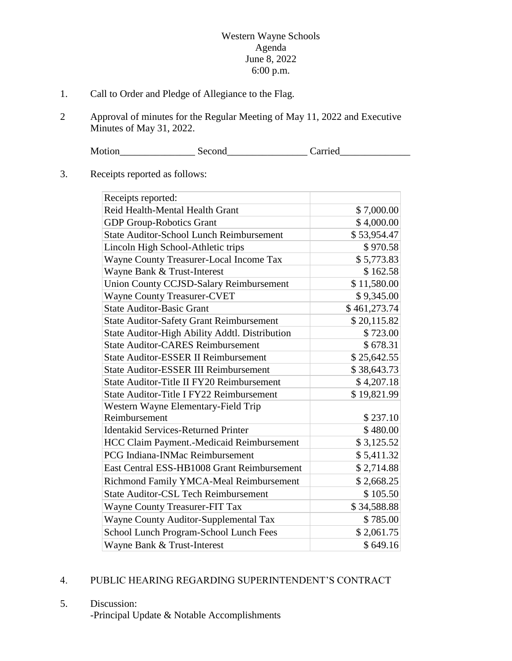## Western Wayne Schools Agenda June 8, 2022 6:00 p.m.

- 1. Call to Order and Pledge of Allegiance to the Flag.
- 2 Approval of minutes for the Regular Meeting of May 11, 2022 and Executive Minutes of May 31, 2022.

Motion\_\_\_\_\_\_\_\_\_\_\_\_\_\_\_ Second\_\_\_\_\_\_\_\_\_\_\_\_\_\_\_\_ Carried\_\_\_\_\_\_\_\_\_\_\_\_\_\_

## 3. Receipts reported as follows:

| Receipts reported:                              |              |
|-------------------------------------------------|--------------|
| Reid Health-Mental Health Grant                 | \$7,000.00   |
| <b>GDP Group-Robotics Grant</b>                 | \$4,000.00   |
| <b>State Auditor-School Lunch Reimbursement</b> | \$53,954.47  |
| Lincoln High School-Athletic trips              | \$970.58     |
| Wayne County Treasurer-Local Income Tax         | \$5,773.83   |
| Wayne Bank & Trust-Interest                     | \$162.58     |
| <b>Union County CCJSD-Salary Reimbursement</b>  | \$11,580.00  |
| <b>Wayne County Treasurer-CVET</b>              | \$9,345.00   |
| <b>State Auditor-Basic Grant</b>                | \$461,273.74 |
| <b>State Auditor-Safety Grant Reimbursement</b> | \$20,115.82  |
| State Auditor-High Ability Addtl. Distribution  | \$723.00     |
| <b>State Auditor-CARES Reimbursement</b>        | \$678.31     |
| <b>State Auditor-ESSER II Reimbursement</b>     | \$25,642.55  |
| <b>State Auditor-ESSER III Reimbursement</b>    | \$38,643.73  |
| State Auditor-Title II FY20 Reimbursement       | \$4,207.18   |
| <b>State Auditor-Title I FY22 Reimbursement</b> | \$19,821.99  |
| Western Wayne Elementary-Field Trip             |              |
| Reimbursement                                   | \$237.10     |
| <b>Identakid Services-Returned Printer</b>      | \$480.00     |
| HCC Claim Payment.-Medicaid Reimbursement       | \$3,125.52   |
| <b>PCG Indiana-INMac Reimbursement</b>          | \$5,411.32   |
| East Central ESS-HB1008 Grant Reimbursement     | \$2,714.88   |
| Richmond Family YMCA-Meal Reimbursement         | \$2,668.25   |
| <b>State Auditor-CSL Tech Reimbursement</b>     | \$105.50     |
| Wayne County Treasurer-FIT Tax                  | \$34,588.88  |
| Wayne County Auditor-Supplemental Tax           | \$785.00     |
| School Lunch Program-School Lunch Fees          | \$2,061.75   |
| Wayne Bank & Trust-Interest                     | \$649.16     |

## 4. PUBLIC HEARING REGARDING SUPERINTENDENT'S CONTRACT

## 5. Discussion: -Principal Update & Notable Accomplishments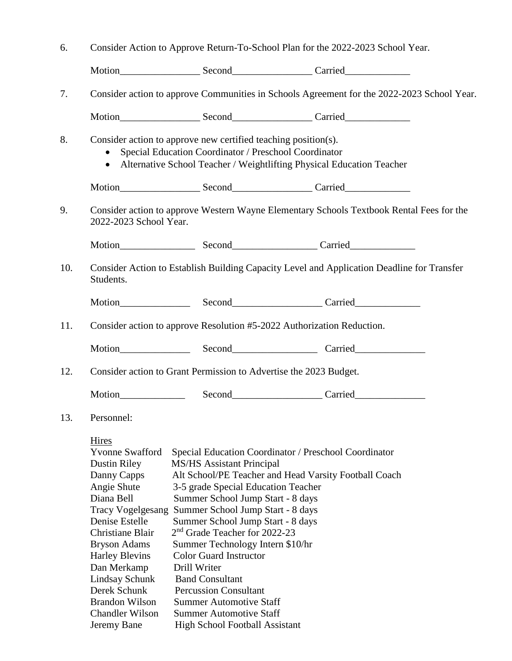| 6.  | Consider Action to Approve Return-To-School Plan for the 2022-2023 School Year.                                                                                                                                                                                                                                                                                                                                                                                                                                                                                                                                                                                                                                                                                                                                                                                                                                                                                     |  |  |  |  |
|-----|---------------------------------------------------------------------------------------------------------------------------------------------------------------------------------------------------------------------------------------------------------------------------------------------------------------------------------------------------------------------------------------------------------------------------------------------------------------------------------------------------------------------------------------------------------------------------------------------------------------------------------------------------------------------------------------------------------------------------------------------------------------------------------------------------------------------------------------------------------------------------------------------------------------------------------------------------------------------|--|--|--|--|
|     |                                                                                                                                                                                                                                                                                                                                                                                                                                                                                                                                                                                                                                                                                                                                                                                                                                                                                                                                                                     |  |  |  |  |
| 7.  | Consider action to approve Communities in Schools Agreement for the 2022-2023 School Year.                                                                                                                                                                                                                                                                                                                                                                                                                                                                                                                                                                                                                                                                                                                                                                                                                                                                          |  |  |  |  |
|     |                                                                                                                                                                                                                                                                                                                                                                                                                                                                                                                                                                                                                                                                                                                                                                                                                                                                                                                                                                     |  |  |  |  |
| 8.  | Consider action to approve new certified teaching position(s).<br>Special Education Coordinator / Preschool Coordinator<br>Alternative School Teacher / Weightlifting Physical Education Teacher                                                                                                                                                                                                                                                                                                                                                                                                                                                                                                                                                                                                                                                                                                                                                                    |  |  |  |  |
|     |                                                                                                                                                                                                                                                                                                                                                                                                                                                                                                                                                                                                                                                                                                                                                                                                                                                                                                                                                                     |  |  |  |  |
| 9.  | Consider action to approve Western Wayne Elementary Schools Textbook Rental Fees for the<br>2022-2023 School Year.                                                                                                                                                                                                                                                                                                                                                                                                                                                                                                                                                                                                                                                                                                                                                                                                                                                  |  |  |  |  |
|     |                                                                                                                                                                                                                                                                                                                                                                                                                                                                                                                                                                                                                                                                                                                                                                                                                                                                                                                                                                     |  |  |  |  |
| 10. | Consider Action to Establish Building Capacity Level and Application Deadline for Transfer<br>Students.                                                                                                                                                                                                                                                                                                                                                                                                                                                                                                                                                                                                                                                                                                                                                                                                                                                             |  |  |  |  |
|     |                                                                                                                                                                                                                                                                                                                                                                                                                                                                                                                                                                                                                                                                                                                                                                                                                                                                                                                                                                     |  |  |  |  |
| 11. | Consider action to approve Resolution #5-2022 Authorization Reduction.                                                                                                                                                                                                                                                                                                                                                                                                                                                                                                                                                                                                                                                                                                                                                                                                                                                                                              |  |  |  |  |
|     |                                                                                                                                                                                                                                                                                                                                                                                                                                                                                                                                                                                                                                                                                                                                                                                                                                                                                                                                                                     |  |  |  |  |
| 12. | Consider action to Grant Permission to Advertise the 2023 Budget.                                                                                                                                                                                                                                                                                                                                                                                                                                                                                                                                                                                                                                                                                                                                                                                                                                                                                                   |  |  |  |  |
|     |                                                                                                                                                                                                                                                                                                                                                                                                                                                                                                                                                                                                                                                                                                                                                                                                                                                                                                                                                                     |  |  |  |  |
| 13. | Personnel:                                                                                                                                                                                                                                                                                                                                                                                                                                                                                                                                                                                                                                                                                                                                                                                                                                                                                                                                                          |  |  |  |  |
|     | <b>Hires</b><br><b>Yvonne Swafford</b><br>Special Education Coordinator / Preschool Coordinator<br><b>Dustin Riley</b><br><b>MS/HS</b> Assistant Principal<br>Alt School/PE Teacher and Head Varsity Football Coach<br>Danny Capps<br>Angie Shute<br>3-5 grade Special Education Teacher<br>Diana Bell<br>Summer School Jump Start - 8 days<br><b>Tracy Vogelgesang</b><br>Summer School Jump Start - 8 days<br>Denise Estelle<br>Summer School Jump Start - 8 days<br>2 <sup>nd</sup> Grade Teacher for 2022-23<br>Christiane Blair<br>Summer Technology Intern \$10/hr<br><b>Bryson Adams</b><br><b>Color Guard Instructor</b><br><b>Harley Blevins</b><br>Dan Merkamp<br>Drill Writer<br><b>Band Consultant</b><br>Lindsay Schunk<br>Derek Schunk<br><b>Percussion Consultant</b><br><b>Brandon Wilson</b><br><b>Summer Automotive Staff</b><br><b>Chandler Wilson</b><br><b>Summer Automotive Staff</b><br>Jeremy Bane<br><b>High School Football Assistant</b> |  |  |  |  |